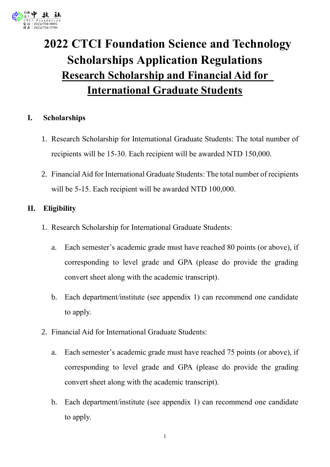

# **2022 CTCI Foundation Science and Technology Scholarships Application Regulations Research Scholarship and Financial Aid for International Graduate Students**

## **I. Scholarships**

- 1. Research Scholarship for International Graduate Students: The total number of recipients will be 15-30. Each recipient will be awarded NTD 150,000.
- 2. Financial Aid for International Graduate Students: The total number of recipients will be 5-15. Each recipient will be awarded NTD 100,000.

## **II. Eligibility**

- 1. Research Scholarship for International Graduate Students:
	- a. Each semester's academic grade must have reached 80 points (or above), if corresponding to level grade and GPA (please do provide the grading convert sheet along with the academic transcript).
	- b. Each department/institute (see appendix 1) can recommend one candidate to apply.
- 2. Financial Aid for International Graduate Students:
	- a. Each semester's academic grade must have reached 75 points (or above), if corresponding to level grade and GPA (please do provide the grading convert sheet along with the academic transcript).
	- b. Each department/institute (see appendix 1) can recommend one candidate to apply.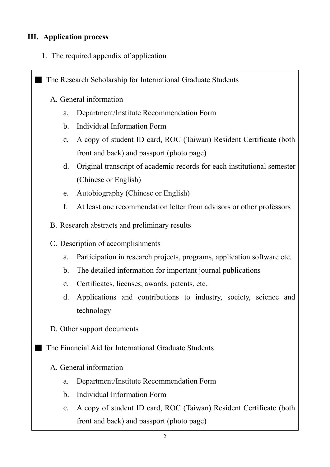## **III. Application process**

1. The required appendix of application

**The Research Scholarship for International Graduate Students** 

- A. General information
	- a. Department/Institute Recommendation Form
	- b. Individual Information Form
	- c. A copy of student ID card, ROC (Taiwan) Resident Certificate (both front and back) and passport (photo page)
	- d. Original transcript of academic records for each institutional semester (Chinese or English)
	- e. Autobiography (Chinese or English)
	- f. At least one recommendation letter from advisors or other professors
- B. Research abstracts and preliminary results
- C. Description of accomplishments
	- a. Participation in research projects, programs, application software etc.
	- b. The detailed information for important journal publications
	- c. Certificates, licenses, awards, patents, etc.
	- d. Applications and contributions to industry, society, science and technology
- D. Other support documents

 $\blacksquare$  The Financial Aid for International Graduate Students

## A. General information

- a. Department/Institute Recommendation Form
- b. Individual Information Form
- c. A copy of student ID card, ROC (Taiwan) Resident Certificate (both front and back) and passport (photo page)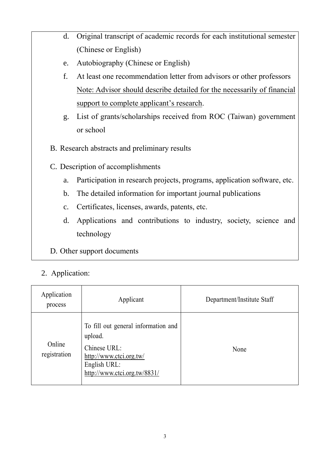- d. Original transcript of academic records for each institutional semester (Chinese or English)
- e. Autobiography (Chinese or English)
- f. At least one recommendation letter from advisors or other professors Note: Advisor should describe detailed for the necessarily of financial support to complete applicant's research.
- g. List of grants/scholarships received from ROC (Taiwan) government or school
- B. Research abstracts and preliminary results
- C. Description of accomplishments
	- a. Participation in research projects, programs, application software, etc.
	- b. The detailed information for important journal publications
	- c. Certificates, licenses, awards, patents, etc.
	- d. Applications and contributions to industry, society, science and technology
- D. Other support documents

## 2. Application:

| Application<br>process | Applicant                                                                                                                                 | Department/Institute Staff |
|------------------------|-------------------------------------------------------------------------------------------------------------------------------------------|----------------------------|
| Online<br>registration | To fill out general information and<br>upload.<br>Chinese URL:<br>http://www.ctci.org.tw/<br>English URL:<br>http://www.ctci.org.tw/8831/ | None                       |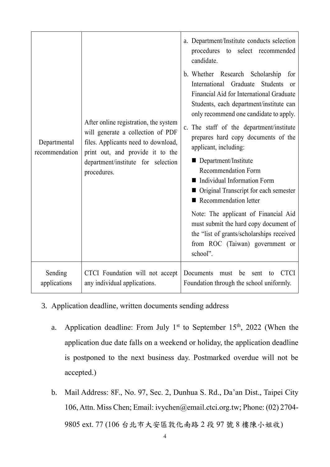| Departmental<br>recommendation | After online registration, the system<br>will generate a collection of PDF<br>files. Applicants need to download,<br>print out, and provide it to the<br>department/institute for selection<br>procedures. | a. Department/Institute conducts selection<br>procedures to select recommended<br>candidate.<br>b. Whether Research Scholarship<br>for<br>International Graduate<br>Students<br>or<br>Financial Aid for International Graduate<br>Students, each department/institute can<br>only recommend one candidate to apply.                                                                                                                            |
|--------------------------------|------------------------------------------------------------------------------------------------------------------------------------------------------------------------------------------------------------|------------------------------------------------------------------------------------------------------------------------------------------------------------------------------------------------------------------------------------------------------------------------------------------------------------------------------------------------------------------------------------------------------------------------------------------------|
|                                |                                                                                                                                                                                                            | c. The staff of the department/institute<br>prepares hard copy documents of the<br>applicant, including:<br>Department/Institute<br><b>Recommendation Form</b><br>Individual Information Form<br>■ Original Transcript for each semester<br>Recommendation letter<br>Note: The applicant of Financial Aid<br>must submit the hard copy document of<br>the "list of grants/scholarships received<br>from ROC (Taiwan) government or<br>school". |
| Sending<br>applications        | CTCI Foundation will not accept<br>any individual applications.                                                                                                                                            | Documents<br><b>CTCI</b><br>be<br>must<br>sent<br>to<br>Foundation through the school uniformly.                                                                                                                                                                                                                                                                                                                                               |

- 3. Application deadline, written documents sending address
	- a. Application deadline: From July  $1<sup>st</sup>$  to September  $15<sup>th</sup>$ , 2022 (When the application due date falls on a weekend or holiday, the application deadline is postponed to the next business day. Postmarked overdue will not be accepted.)
	- b. Mail Address: 8F., No. 97, Sec. 2, Dunhua S. Rd., Da'an Dist., Taipei City 106, Attn. Miss Chen; Email: ivychen@email.ctci.org.tw; Phone: (02) 2704- 9805 ext. 77 (106 台北市大安區敦化南路 2 段 97 號 8 樓陳小姐收)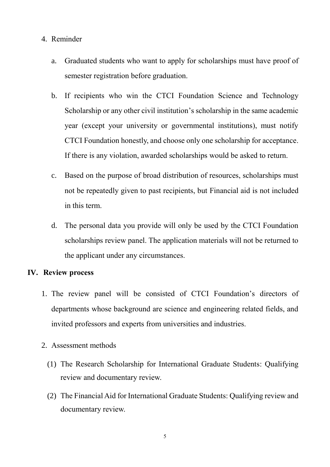#### 4. Reminder

- a. Graduated students who want to apply for scholarships must have proof of semester registration before graduation.
- b. If recipients who win the CTCI Foundation Science and Technology Scholarship or any other civil institution's scholarship in the same academic year (except your university or governmental institutions), must notify CTCI Foundation honestly, and choose only one scholarship for acceptance. If there is any violation, awarded scholarships would be asked to return.
- c. Based on the purpose of broad distribution of resources, scholarships must not be repeatedly given to past recipients, but Financial aid is not included in this term.
- d. The personal data you provide will only be used by the CTCI Foundation scholarships review panel. The application materials will not be returned to the applicant under any circumstances.

#### **IV. Review process**

- 1. The review panel will be consisted of CTCI Foundation's directors of departments whose background are science and engineering related fields, and invited professors and experts from universities and industries.
- 2. Assessment methods
	- (1) The Research Scholarship for International Graduate Students: Qualifying review and documentary review.
	- (2) The Financial Aid for International Graduate Students: Qualifying review and documentary review.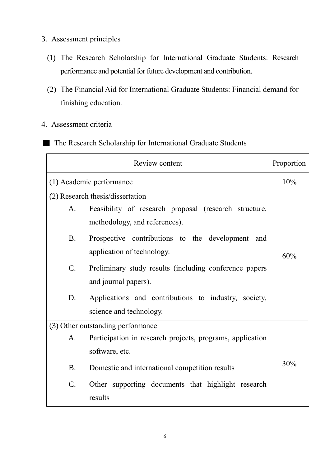- 3. Assessment principles
	- (1) The Research Scholarship for International Graduate Students: Research performance and potential for future development and contribution.
	- (2) The Financial Aid for International Graduate Students: Financial demand for finishing education.
- 4. Assessment criteria
- **The Research Scholarship for International Graduate Students**

| Review content                    |                                                           |     |
|-----------------------------------|-----------------------------------------------------------|-----|
| (1) Academic performance          |                                                           | 10% |
| (2) Research thesis/dissertation  |                                                           |     |
| A.                                | Feasibility of research proposal (research structure,     |     |
|                                   | methodology, and references).                             |     |
| <b>B.</b>                         | Prospective contributions to the development<br>and       |     |
|                                   | application of technology.                                | 60% |
| $\mathcal{C}$ .                   | Preliminary study results (including conference papers    |     |
|                                   | and journal papers).                                      |     |
| D.                                | Applications and contributions to industry, society,      |     |
|                                   | science and technology.                                   |     |
| (3) Other outstanding performance |                                                           |     |
| A.                                | Participation in research projects, programs, application |     |
|                                   | software, etc.                                            |     |
| <b>B.</b>                         | Domestic and international competition results            | 30% |
| C.                                | Other supporting documents that highlight research        |     |
|                                   | results                                                   |     |